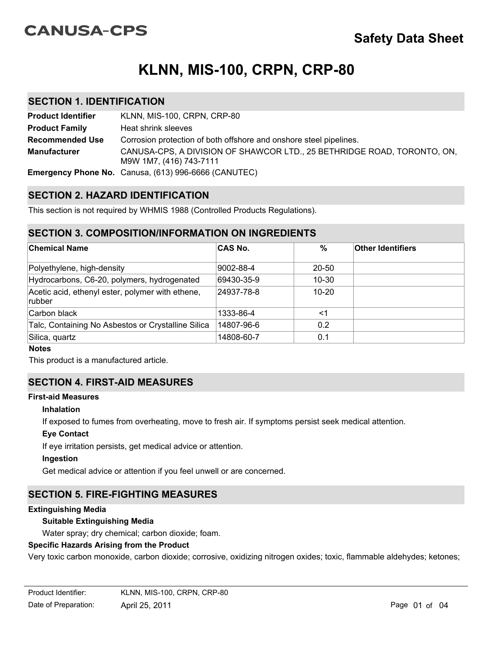# **CANUSA-CPS**

# **KLNN, MIS-100, CRPN, CRP-80**

### **SECTION 1. IDENTIFICATION**

| <b>Product Identifier</b> | KLNN, MIS-100, CRPN, CRP-80                                                                        |
|---------------------------|----------------------------------------------------------------------------------------------------|
| <b>Product Family</b>     | Heat shrink sleeves                                                                                |
| <b>Recommended Use</b>    | Corrosion protection of both offshore and onshore steel pipelines.                                 |
| <b>Manufacturer</b>       | CANUSA-CPS, A DIVISION OF SHAWCOR LTD., 25 BETHRIDGE ROAD, TORONTO, ON,<br>M9W 1M7, (416) 743-7111 |
|                           | <b>Emergency Phone No.</b> Canusa, (613) 996-6666 (CANUTEC)                                        |

# **SECTION 2. HAZARD IDENTIFICATION**

This section is not required by WHMIS 1988 (Controlled Products Regulations).

# **SECTION 3. COMPOSITION/INFORMATION ON INGREDIENTS**

| ∣Chemical Name                                              | <b>CAS No.</b> | $\frac{0}{0}$ | <b>Other Identifiers</b> |
|-------------------------------------------------------------|----------------|---------------|--------------------------|
| Polyethylene, high-density                                  | 9002-88-4      | $20 - 50$     |                          |
| Hydrocarbons, C6-20, polymers, hydrogenated                 | 69430-35-9     | $10 - 30$     |                          |
| Acetic acid, ethenyl ester, polymer with ethene,<br> rubber | 24937-78-8     | $10 - 20$     |                          |
| ∣Carbon black                                               | 1333-86-4      | $<$ 1         |                          |
| Talc, Containing No Asbestos or Crystalline Silica          | 14807-96-6     | 0.2           |                          |
| Silica, quartz                                              | 14808-60-7     | 0.1           |                          |

#### **Notes**

This product is a manufactured article.

# **SECTION 4. FIRST-AID MEASURES**

#### **First-aid Measures**

#### **Inhalation**

If exposed to fumes from overheating, move to fresh air. If symptoms persist seek medical attention.

### **Eye Contact**

If eye irritation persists, get medical advice or attention.

### **Ingestion**

Get medical advice or attention if you feel unwell or are concerned.

# **SECTION 5. FIRE-FIGHTING MEASURES**

#### **Extinguishing Media**

### **Suitable Extinguishing Media**

Water spray; dry chemical; carbon dioxide; foam.

### **Specific Hazards Arising from the Product**

Very toxic carbon monoxide, carbon dioxide; corrosive, oxidizing nitrogen oxides; toxic, flammable aldehydes; ketones;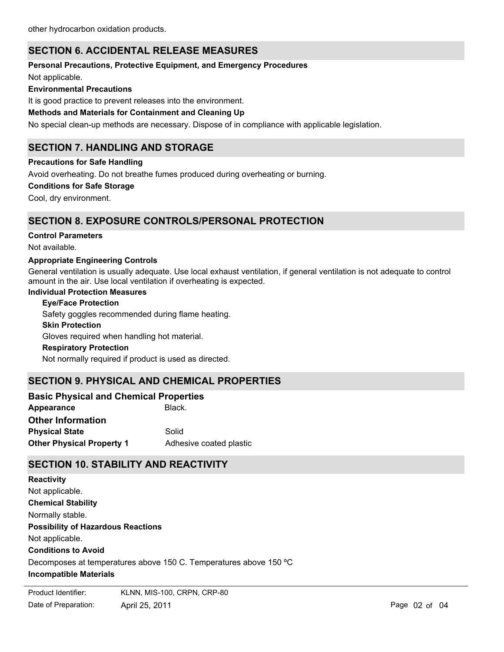# **SECTION 6. ACCIDENTAL RELEASE MEASURES**

### **Personal Precautions, Protective Equipment, and Emergency Procedures**

Not applicable.

### **Environmental Precautions**

It is good practice to prevent releases into the environment.

### **Methods and Materials for Containment and Cleaning Up**

No special clean-up methods are necessary. Dispose of in compliance with applicable legislation.

# **SECTION 7. HANDLING AND STORAGE**

### **Precautions for Safe Handling**

Avoid overheating. Do not breathe fumes produced during overheating or burning.

#### **Conditions for Safe Storage**

Cool, dry environment.

# **SECTION 8. EXPOSURE CONTROLS/PERSONAL PROTECTION**

#### **Control Parameters**

Not available.

### **Appropriate Engineering Controls**

General ventilation is usually adequate. Use local exhaust ventilation, if general ventilation is not adequate to control amount in the air. Use local ventilation if overheating is expected.

#### **Individual Protection Measures**

**Skin Protection Eye/Face Protection** Gloves required when handling hot material. Safety goggles recommended during flame heating.

# **Respiratory Protection**

Not normally required if product is used as directed.

# **SECTION 9. PHYSICAL AND CHEMICAL PROPERTIES**

| <b>Basic Physical and Chemical Properties</b> |                         |  |  |
|-----------------------------------------------|-------------------------|--|--|
| Appearance                                    | Black.                  |  |  |
| <b>Other Information</b>                      |                         |  |  |
| <b>Physical State</b>                         | Solid                   |  |  |
| <b>Other Physical Property 1</b>              | Adhesive coated plastic |  |  |

# **SECTION 10. STABILITY AND REACTIVITY**

**Chemical Stability** Normally stable. **Conditions to Avoid** Decomposes at temperatures above 150 C. Temperatures above 150 ºC **Incompatible Materials Possibility of Hazardous Reactions** Not applicable. **Reactivity** Not applicable.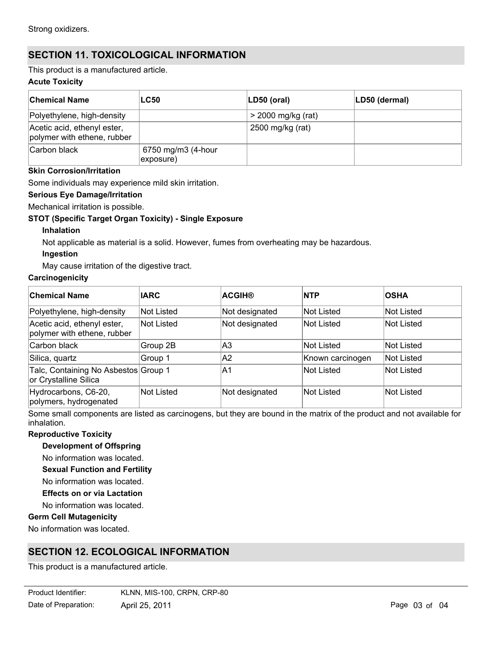# **SECTION 11. TOXICOLOGICAL INFORMATION**

This product is a manufactured article.

### **Acute Toxicity**

| <b>Chemical Name</b>                                       | <b>LC50</b>                                   | $ LD50$ (oral)       | LD50 (dermal) |
|------------------------------------------------------------|-----------------------------------------------|----------------------|---------------|
| Polyethylene, high-density                                 |                                               | $>$ 2000 mg/kg (rat) |               |
| Acetic acid, ethenyl ester,<br>polymer with ethene, rubber |                                               | 2500 mg/kg (rat)     |               |
| Carbon black                                               | 6750 mg/m3 (4-hour<br>$\ket{\text{exposure}}$ |                      |               |

### **Skin Corrosion/Irritation**

Some individuals may experience mild skin irritation.

### **Serious Eye Damage/Irritation**

Mechanical irritation is possible.

### **STOT (Specific Target Organ Toxicity) - Single Exposure**

### **Inhalation**

Not applicable as material is a solid. However, fumes from overheating may be hazardous.

### **Ingestion**

May cause irritation of the digestive tract.

### **Carcinogenicity**

| <b>Chemical Name</b>                                          | <b>IARC</b> | <b>ACGIH®</b>  | <b>NTP</b>        | <b>OSHA</b>       |
|---------------------------------------------------------------|-------------|----------------|-------------------|-------------------|
| Polyethylene, high-density                                    | Not Listed  | Not designated | <b>Not Listed</b> | <b>Not Listed</b> |
| Acetic acid, ethenyl ester,<br>polymer with ethene, rubber    | Not Listed  | Not designated | <b>Not Listed</b> | <b>Not Listed</b> |
| Carbon black                                                  | Group 2B    | IA3            | <b>Not Listed</b> | <b>Not Listed</b> |
| Silica, quartz                                                | Group 1     | A2             | Known carcinogen  | Not Listed        |
| Talc, Containing No Asbestos Group 1<br>or Crystalline Silica |             | IA1            | <b>Not Listed</b> | <b>Not Listed</b> |
| Hydrocarbons, C6-20,<br>polymers, hydrogenated                | Not Listed  | Not designated | <b>Not Listed</b> | Not Listed        |

Some small components are listed as carcinogens, but they are bound in the matrix of the product and not available for inhalation.

### **Reproductive Toxicity**

**Development of Offspring**

No information was located.

**Sexual Function and Fertility**

No information was located.

**Effects on or via Lactation**

No information was located.

### **Germ Cell Mutagenicity**

No information was located.

# **SECTION 12. ECOLOGICAL INFORMATION**

This product is a manufactured article.